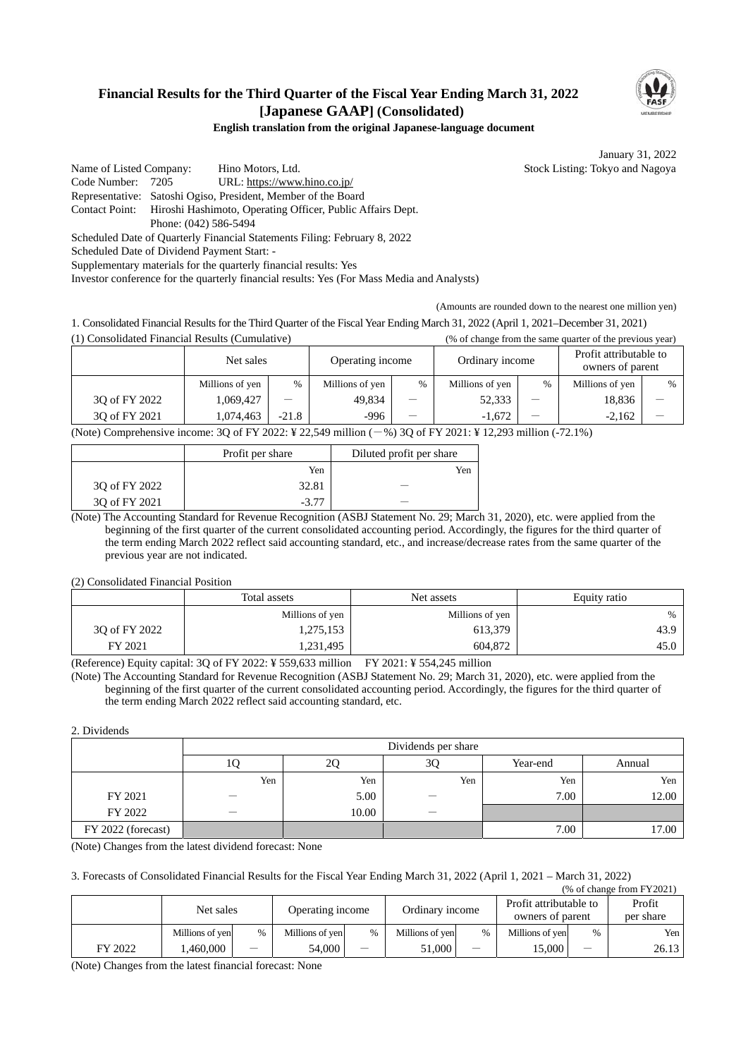# **Financial Results for the Third Quarter of the Fiscal Year Ending March 31, 2022 [Japanese GAAP] (Consolidated)**



#### **English translation from the original Japanese-language document**

January 31, 2022

Name of Listed Company: Hino Motors, Ltd. Stock Listing: Tokyo and Nagoya Code Number: 7205 URL: https://www.hino.co.jp/ Representative: Satoshi Ogiso, President, Member of the Board Contact Point: Hiroshi Hashimoto, Operating Officer, Public Affairs Dept. Phone: (042) 586-5494

Scheduled Date of Quarterly Financial Statements Filing: February 8, 2022

Scheduled Date of Dividend Payment Start: -

Supplementary materials for the quarterly financial results: Yes

Investor conference for the quarterly financial results: Yes (For Mass Media and Analysts)

(Amounts are rounded down to the nearest one million yen)

1. Consolidated Financial Results for the Third Quarter of the Fiscal Year Ending March 31, 2022 (April 1, 2021–December 31, 2021) (1) Consolidated Financial Results (Cumulative) (% of change from the same quarter of the previous year)

|               | Net sales       |         | Operating income |      | Ordinary income |   | Profit attributable to<br>owners of parent |      |
|---------------|-----------------|---------|------------------|------|-----------------|---|--------------------------------------------|------|
|               | Millions of yen | $\%$    | Millions of yen  | $\%$ | Millions of yen | % | Millions of yen                            | $\%$ |
| 30 of FY 2022 | 1,069,427       |         | 49,834           |      | 52,333          |   | 18,836                                     |      |
| 30 of FY 2021 | 1.074.463       | $-21.8$ | $-996$           | –    | $-1.672$        |   | $-2.162$                                   |      |

(Note) Comprehensive income: 3Q of FY 2022: ¥ 22,549 million (-%) 3Q of FY 2021: ¥ 12,293 million (-72.1%)

|               | Profit per share | Diluted profit per share |
|---------------|------------------|--------------------------|
|               | Yen              | Yen                      |
| 30 of FY 2022 | 32.81            |                          |
| 30 of FY 2021 | $-3.77$          |                          |

(Note) The Accounting Standard for Revenue Recognition (ASBJ Statement No. 29; March 31, 2020), etc. were applied from the beginning of the first quarter of the current consolidated accounting period. Accordingly, the figures for the third quarter of the term ending March 2022 reflect said accounting standard, etc., and increase/decrease rates from the same quarter of the previous year are not indicated.

(2) Consolidated Financial Position

|               | Total assets<br>Net assets |                 | Equity ratio |  |
|---------------|----------------------------|-----------------|--------------|--|
|               | Millions of yen            | Millions of yen | %            |  |
| 30 of FY 2022 | 1,275,153                  | 613,379         | 43.9         |  |
| FY 2021       | 1,231,495                  | 604,872         | 45.0         |  |

(Reference) Equity capital: 3Q of FY 2022: ¥ 559,633 million FY 2021: ¥ 554,245 million

(Note) The Accounting Standard for Revenue Recognition (ASBJ Statement No. 29; March 31, 2020), etc. were applied from the beginning of the first quarter of the current consolidated accounting period. Accordingly, the figures for the third quarter of the term ending March 2022 reflect said accounting standard, etc.

#### 2. Dividends

|                    |     |       | Dividends per share |          |        |
|--------------------|-----|-------|---------------------|----------|--------|
|                    | v   | ∠     | 3Q                  | Year-end | Annual |
|                    | Yen | Yen   | Yen                 | Yen      | Yen    |
| FY 2021            |     | 5.00  |                     | 7.00     | 12.00  |
| FY 2022            |     | 10.00 |                     |          |        |
| FY 2022 (forecast) |     |       |                     | 7.00     | 17.00  |

(Note) Changes from the latest dividend forecast: None

3. Forecasts of Consolidated Financial Results for the Fiscal Year Ending March 31, 2022 (April 1, 2021 – March 31, 2022) (% of change from FY2021)

|         | $\sim$ 01 chance hom 1 $\pm$ 2021 |      |                  |               |                 |                                 |                                            |      |                     |
|---------|-----------------------------------|------|------------------|---------------|-----------------|---------------------------------|--------------------------------------------|------|---------------------|
|         | Net sales                         |      | Operating income |               | Ordinary income |                                 | Profit attributable to<br>owners of parent |      | Profit<br>per share |
|         | Millions of yen                   | $\%$ | Millions of yen  | $\frac{0}{0}$ | Millions of yen | $\%$                            | Millions of ven                            | $\%$ | Yen l               |
| FY 2022 | .460.000                          |      | 54.000           | —             | 51,000          | $\hspace{0.1mm}-\hspace{0.1mm}$ | 15.000                                     | –    | 26.13               |

(Note) Changes from the latest financial forecast: None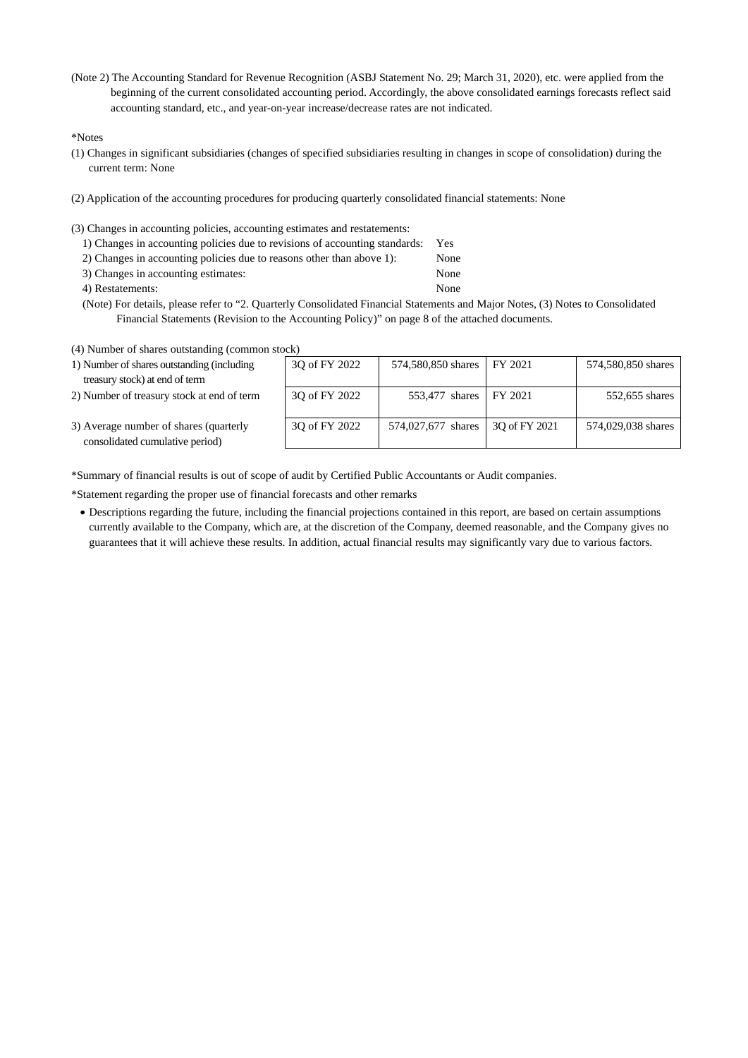(Note 2) The Accounting Standard for Revenue Recognition (ASBJ Statement No. 29; March 31, 2020), etc. were applied from the beginning of the current consolidated accounting period. Accordingly, the above consolidated earnings forecasts reflect said accounting standard, etc., and year-on-year increase/decrease rates are not indicated.

\*Notes

- (1) Changes in significant subsidiaries (changes of specified subsidiaries resulting in changes in scope of consolidation) during the current term: None
- (2) Application of the accounting procedures for producing quarterly consolidated financial statements: None
- (3) Changes in accounting policies, accounting estimates and restatements:
	- 1) Changes in accounting policies due to revisions of accounting standards: Yes
	- 2) Changes in accounting policies due to reasons other than above 1): None
	- 3) Changes in accounting estimates: None
	- 4) Restatements: None
	- (Note) For details, please refer to "2. Quarterly Consolidated Financial Statements and Major Notes, (3) Notes to Consolidated Financial Statements (Revision to the Accounting Policy)" on page 8 of the attached documents.
- (4) Number of shares outstanding (common stock)

| 1) Number of shares outstanding (including                                | 30 of FY 2022 | 574,580,850 shares     | FY 2021       | 574,580,850 shares |
|---------------------------------------------------------------------------|---------------|------------------------|---------------|--------------------|
| treasury stock) at end of term                                            |               |                        |               |                    |
| 2) Number of treasury stock at end of term                                | 30 of FY 2022 | 553,477 shares FY 2021 |               | 552,655 shares     |
| 3) Average number of shares (quarterly<br>consolidated cumulative period) | 30 of FY 2022 | 574,027,677 shares     | 30 of FY 2021 | 574,029,038 shares |

\*Summary of financial results is out of scope of audit by Certified Public Accountants or Audit companies.

\*Statement regarding the proper use of financial forecasts and other remarks

 Descriptions regarding the future, including the financial projections contained in this report, are based on certain assumptions currently available to the Company, which are, at the discretion of the Company, deemed reasonable, and the Company gives no guarantees that it will achieve these results. In addition, actual financial results may significantly vary due to various factors.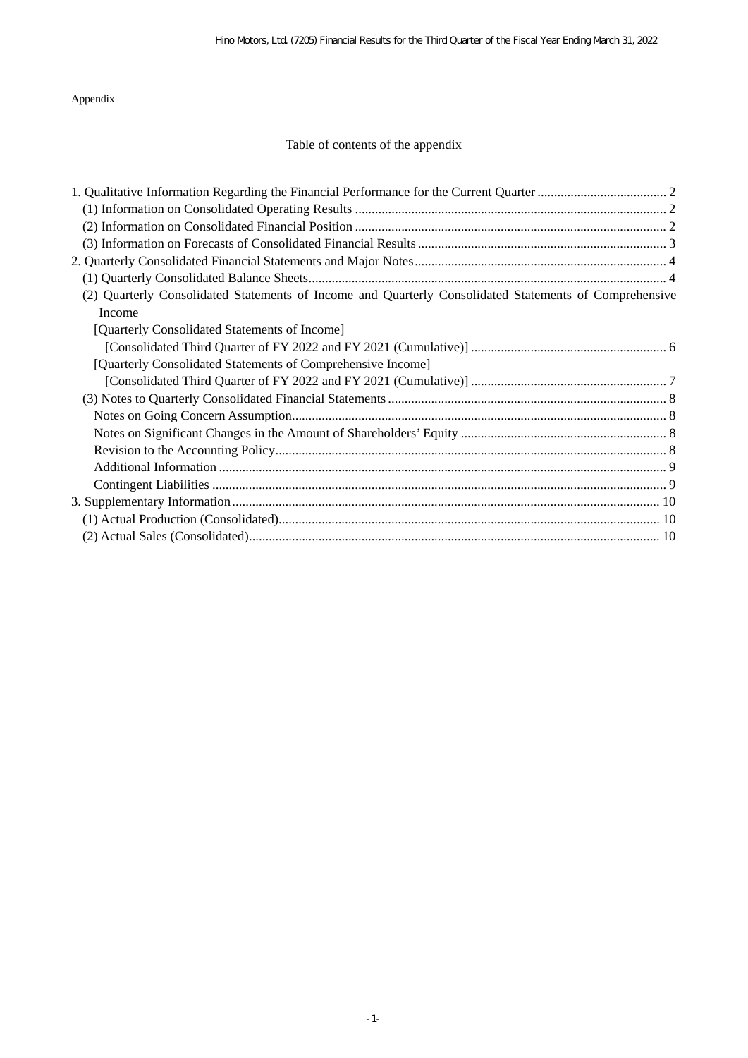## Appendix

# Table of contents of the appendix

| (2) Quarterly Consolidated Statements of Income and Quarterly Consolidated Statements of Comprehensive |  |
|--------------------------------------------------------------------------------------------------------|--|
| Income                                                                                                 |  |
| [Quarterly Consolidated Statements of Income]                                                          |  |
|                                                                                                        |  |
| [Quarterly Consolidated Statements of Comprehensive Income]                                            |  |
|                                                                                                        |  |
|                                                                                                        |  |
|                                                                                                        |  |
|                                                                                                        |  |
|                                                                                                        |  |
|                                                                                                        |  |
|                                                                                                        |  |
|                                                                                                        |  |
|                                                                                                        |  |
|                                                                                                        |  |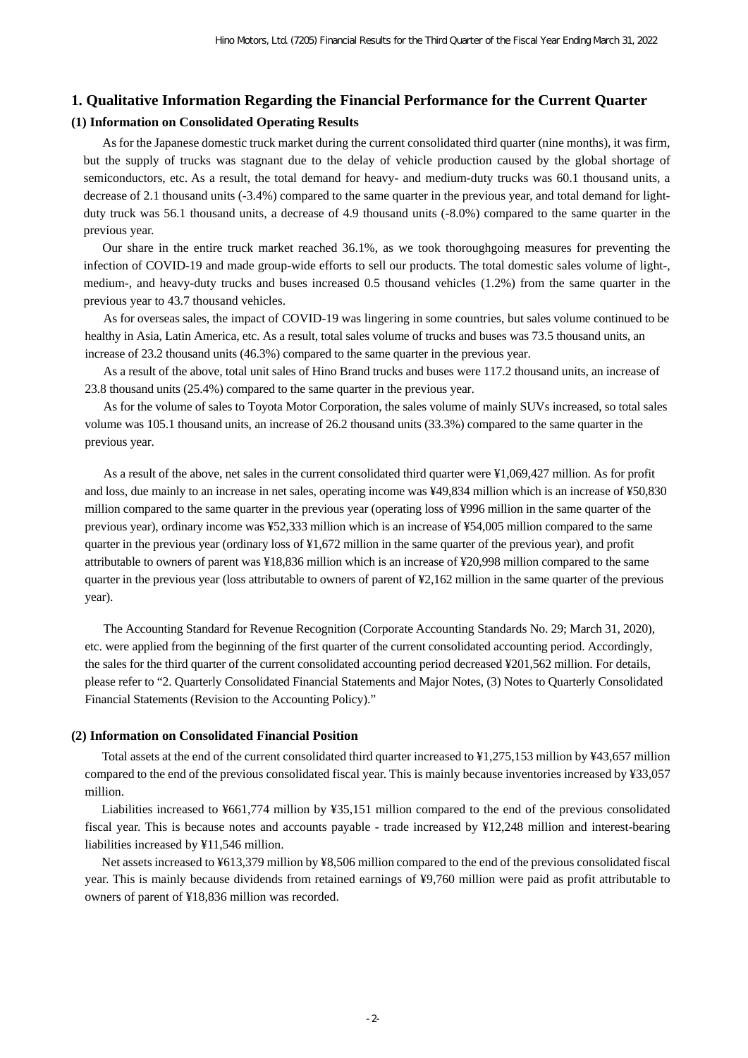#### **1. Qualitative Information Regarding the Financial Performance for the Current Quarter**

#### **(1) Information on Consolidated Operating Results**

As for the Japanese domestic truck market during the current consolidated third quarter (nine months), it was firm, but the supply of trucks was stagnant due to the delay of vehicle production caused by the global shortage of semiconductors, etc. As a result, the total demand for heavy- and medium-duty trucks was 60.1 thousand units, a decrease of 2.1 thousand units (-3.4%) compared to the same quarter in the previous year, and total demand for lightduty truck was 56.1 thousand units, a decrease of 4.9 thousand units (-8.0%) compared to the same quarter in the previous year.

Our share in the entire truck market reached 36.1%, as we took thoroughgoing measures for preventing the infection of COVID-19 and made group-wide efforts to sell our products. The total domestic sales volume of light-, medium-, and heavy-duty trucks and buses increased 0.5 thousand vehicles (1.2%) from the same quarter in the previous year to 43.7 thousand vehicles.

As for overseas sales, the impact of COVID-19 was lingering in some countries, but sales volume continued to be healthy in Asia, Latin America, etc. As a result, total sales volume of trucks and buses was 73.5 thousand units, an increase of 23.2 thousand units (46.3%) compared to the same quarter in the previous year.

As a result of the above, total unit sales of Hino Brand trucks and buses were 117.2 thousand units, an increase of 23.8 thousand units (25.4%) compared to the same quarter in the previous year.

As for the volume of sales to Toyota Motor Corporation, the sales volume of mainly SUVs increased, so total sales volume was 105.1 thousand units, an increase of 26.2 thousand units (33.3%) compared to the same quarter in the previous year.

As a result of the above, net sales in the current consolidated third quarter were ¥1,069,427 million. As for profit and loss, due mainly to an increase in net sales, operating income was ¥49,834 million which is an increase of ¥50,830 million compared to the same quarter in the previous year (operating loss of ¥996 million in the same quarter of the previous year), ordinary income was ¥52,333 million which is an increase of ¥54,005 million compared to the same quarter in the previous year (ordinary loss of ¥1,672 million in the same quarter of the previous year), and profit attributable to owners of parent was ¥18,836 million which is an increase of ¥20,998 million compared to the same quarter in the previous year (loss attributable to owners of parent of ¥2,162 million in the same quarter of the previous year).

The Accounting Standard for Revenue Recognition (Corporate Accounting Standards No. 29; March 31, 2020), etc. were applied from the beginning of the first quarter of the current consolidated accounting period. Accordingly, the sales for the third quarter of the current consolidated accounting period decreased ¥201,562 million. For details, please refer to "2. Quarterly Consolidated Financial Statements and Major Notes, (3) Notes to Quarterly Consolidated Financial Statements (Revision to the Accounting Policy)."

#### **(2) Information on Consolidated Financial Position**

Total assets at the end of the current consolidated third quarter increased to ¥1,275,153 million by ¥43,657 million compared to the end of the previous consolidated fiscal year. This is mainly because inventories increased by ¥33,057 million.

Liabilities increased to ¥661,774 million by ¥35,151 million compared to the end of the previous consolidated fiscal year. This is because notes and accounts payable - trade increased by ¥12,248 million and interest-bearing liabilities increased by ¥11,546 million.

Net assets increased to ¥613,379 million by ¥8,506 million compared to the end of the previous consolidated fiscal year. This is mainly because dividends from retained earnings of ¥9,760 million were paid as profit attributable to owners of parent of ¥18,836 million was recorded.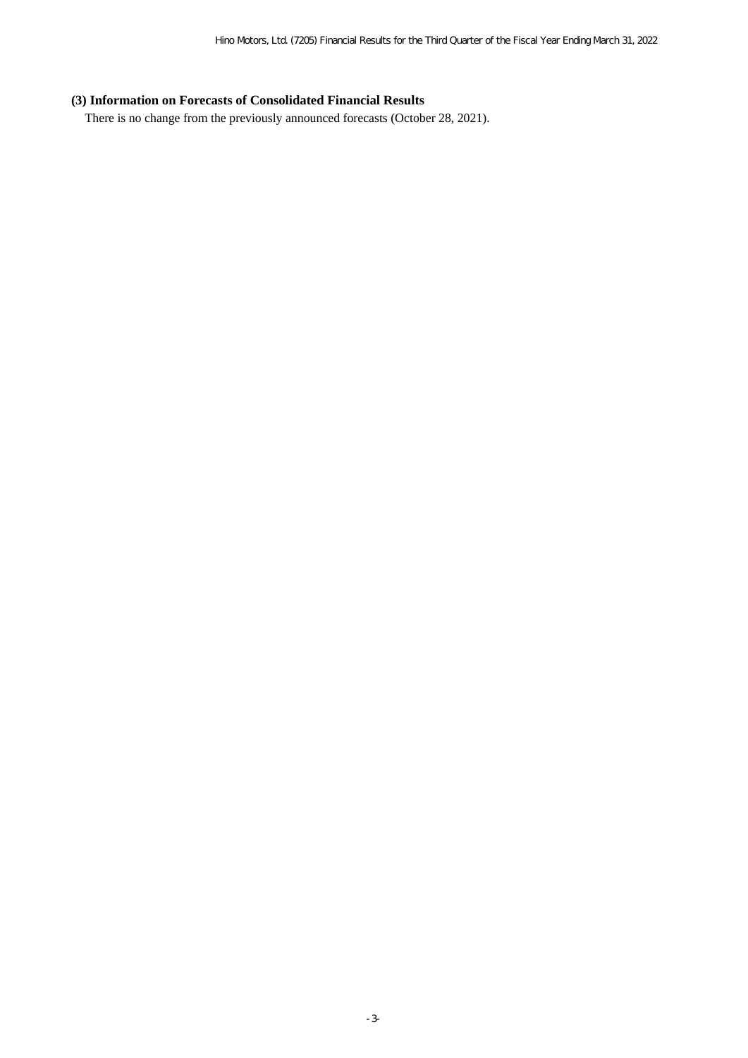## **(3) Information on Forecasts of Consolidated Financial Results**

There is no change from the previously announced forecasts (October 28, 2021).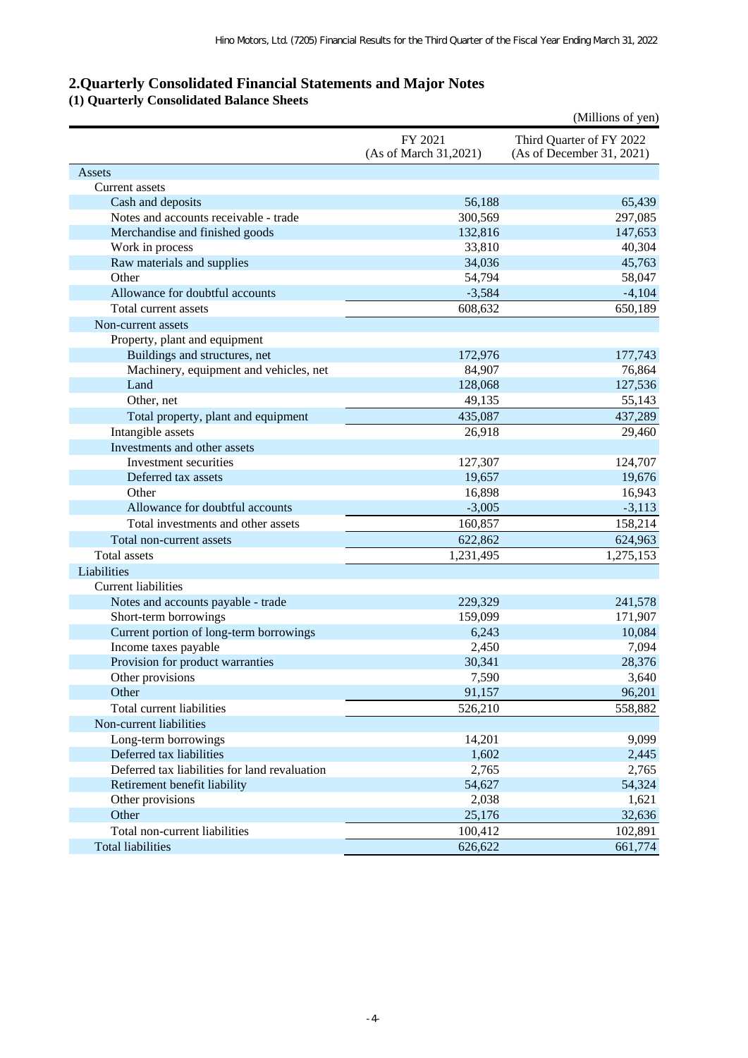## **2.Quarterly Consolidated Financial Statements and Major Notes**

**(1) Quarterly Consolidated Balance Sheets**

|                                               |                                  | (Millions of yen)                                     |
|-----------------------------------------------|----------------------------------|-------------------------------------------------------|
|                                               | FY 2021<br>(As of March 31,2021) | Third Quarter of FY 2022<br>(As of December 31, 2021) |
| Assets                                        |                                  |                                                       |
| Current assets                                |                                  |                                                       |
| Cash and deposits                             | 56,188                           | 65,439                                                |
| Notes and accounts receivable - trade         | 300,569                          | 297,085                                               |
| Merchandise and finished goods                | 132,816                          | 147,653                                               |
| Work in process                               | 33,810                           | 40,304                                                |
| Raw materials and supplies                    | 34,036                           | 45,763                                                |
| Other                                         | 54,794                           | 58,047                                                |
| Allowance for doubtful accounts               | $-3,584$                         | $-4,104$                                              |
| Total current assets                          | 608,632                          | 650,189                                               |
| Non-current assets                            |                                  |                                                       |
| Property, plant and equipment                 |                                  |                                                       |
| Buildings and structures, net                 | 172,976                          | 177,743                                               |
| Machinery, equipment and vehicles, net        | 84,907                           | 76,864                                                |
| Land                                          | 128,068                          | 127,536                                               |
| Other, net                                    | 49,135                           | 55,143                                                |
| Total property, plant and equipment           | 435,087                          | 437,289                                               |
| Intangible assets                             | 26,918                           | 29,460                                                |
| Investments and other assets                  |                                  |                                                       |
| Investment securities                         | 127,307                          | 124,707                                               |
| Deferred tax assets                           | 19,657                           | 19,676                                                |
| Other                                         | 16,898                           | 16,943                                                |
| Allowance for doubtful accounts               | $-3,005$                         | $-3,113$                                              |
| Total investments and other assets            | 160,857                          | 158,214                                               |
| Total non-current assets                      | 622,862                          | 624,963                                               |
| <b>Total assets</b>                           | 1,231,495                        | 1,275,153                                             |
| Liabilities                                   |                                  |                                                       |
| <b>Current liabilities</b>                    |                                  |                                                       |
| Notes and accounts payable - trade            | 229,329                          | 241,578                                               |
| Short-term borrowings                         | 159,099                          | 171,907                                               |
| Current portion of long-term borrowings       | 6,243                            | 10,084                                                |
| Income taxes payable                          | 2,450                            | 7,094                                                 |
| Provision for product warranties              | 30,341                           | 28,376                                                |
| Other provisions                              | 7,590                            | 3,640                                                 |
| Other                                         | 91,157                           | 96,201                                                |
| Total current liabilities                     | 526,210                          | 558,882                                               |
| Non-current liabilities                       |                                  |                                                       |
| Long-term borrowings                          | 14,201                           | 9,099                                                 |
| Deferred tax liabilities                      | 1,602                            | 2,445                                                 |
| Deferred tax liabilities for land revaluation | 2,765                            | 2,765                                                 |
| Retirement benefit liability                  | 54,627                           | 54,324                                                |
| Other provisions                              | 2,038                            | 1,621                                                 |
| Other                                         | 25,176                           | 32,636                                                |
| Total non-current liabilities                 | 100,412                          | 102,891                                               |
| <b>Total liabilities</b>                      | 626,622                          | 661,774                                               |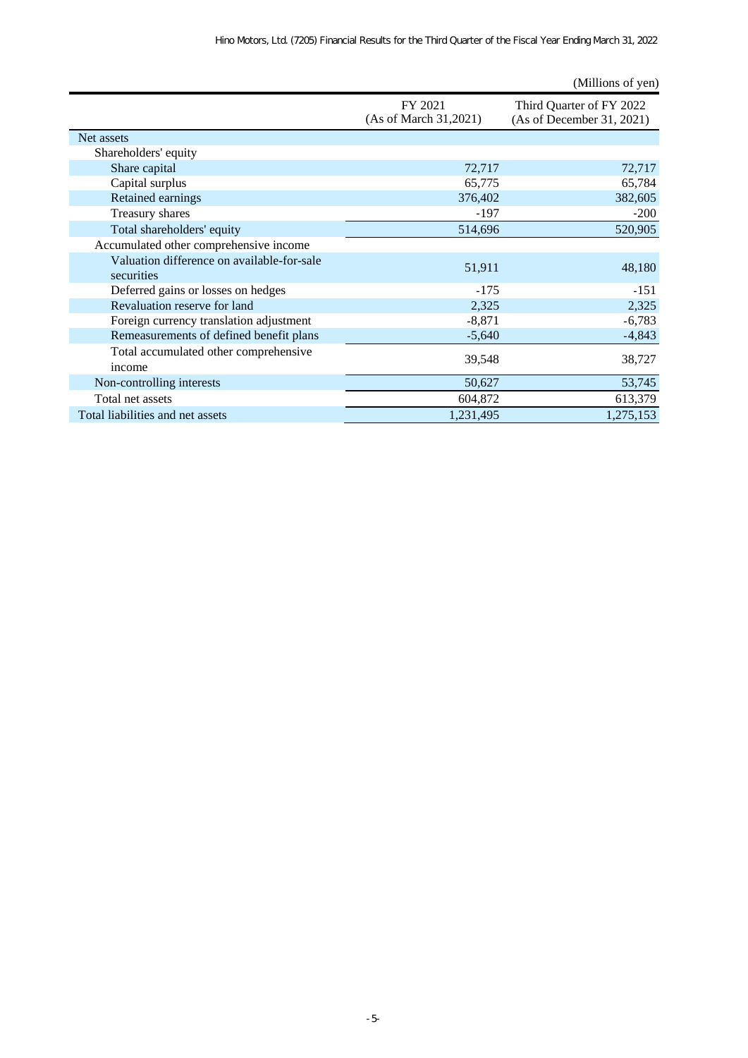|                                                          |                                  | (Millions of yen)                                     |
|----------------------------------------------------------|----------------------------------|-------------------------------------------------------|
|                                                          | FY 2021<br>(As of March 31,2021) | Third Quarter of FY 2022<br>(As of December 31, 2021) |
| Net assets                                               |                                  |                                                       |
| Shareholders' equity                                     |                                  |                                                       |
| Share capital                                            | 72,717                           | 72,717                                                |
| Capital surplus                                          | 65,775                           | 65,784                                                |
| Retained earnings                                        | 376,402                          | 382,605                                               |
| Treasury shares                                          | -197                             | $-200$                                                |
| Total shareholders' equity                               | 514,696                          | 520,905                                               |
| Accumulated other comprehensive income                   |                                  |                                                       |
| Valuation difference on available-for-sale<br>securities | 51,911                           | 48,180                                                |
| Deferred gains or losses on hedges                       | -175                             | $-151$                                                |
| Revaluation reserve for land                             | 2,325                            | 2,325                                                 |
| Foreign currency translation adjustment                  | $-8,871$                         | $-6,783$                                              |
| Remeasurements of defined benefit plans                  | $-5,640$                         | $-4,843$                                              |
| Total accumulated other comprehensive<br>income          | 39,548                           | 38,727                                                |
| Non-controlling interests                                | 50,627                           | 53,745                                                |
| Total net assets                                         | 604,872                          | 613,379                                               |
| Total liabilities and net assets                         | 1,231,495                        | 1,275,153                                             |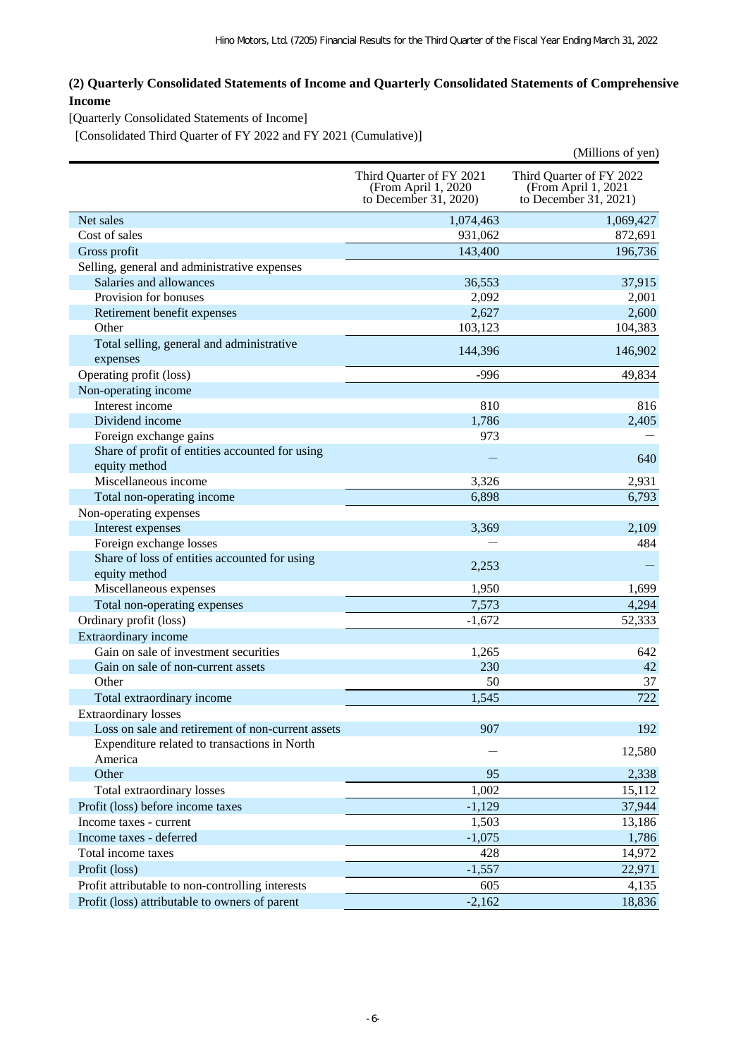## **(2) Quarterly Consolidated Statements of Income and Quarterly Consolidated Statements of Comprehensive Income**

[Quarterly Consolidated Statements of Income]

[Consolidated Third Quarter of FY 2022 and FY 2021 (Cumulative)]

|                                                       |                                                                           | (Millions of yen)                                                        |
|-------------------------------------------------------|---------------------------------------------------------------------------|--------------------------------------------------------------------------|
|                                                       | Third Quarter of FY 2021<br>(From April 1, 2020)<br>to December 31, 2020) | Third Quarter of FY 2022<br>(From April 1, 2021<br>to December 31, 2021) |
| Net sales                                             | 1,074,463                                                                 | 1,069,427                                                                |
| Cost of sales                                         | 931,062                                                                   | 872,691                                                                  |
| Gross profit                                          | 143,400                                                                   | 196,736                                                                  |
| Selling, general and administrative expenses          |                                                                           |                                                                          |
| Salaries and allowances                               | 36,553                                                                    | 37,915                                                                   |
| Provision for bonuses                                 | 2,092                                                                     | 2,001                                                                    |
| Retirement benefit expenses                           | 2,627                                                                     | 2,600                                                                    |
| Other                                                 | 103,123                                                                   | 104,383                                                                  |
| Total selling, general and administrative<br>expenses | 144,396                                                                   | 146,902                                                                  |
| Operating profit (loss)                               | $-996$                                                                    | 49,834                                                                   |
| Non-operating income                                  |                                                                           |                                                                          |
| Interest income                                       | 810                                                                       | 816                                                                      |
| Dividend income                                       | 1,786                                                                     | 2,405                                                                    |
| Foreign exchange gains                                | 973                                                                       |                                                                          |
| Share of profit of entities accounted for using       |                                                                           |                                                                          |
| equity method                                         |                                                                           | 640                                                                      |
| Miscellaneous income                                  | 3,326                                                                     | 2,931                                                                    |
| Total non-operating income                            | 6,898                                                                     | 6,793                                                                    |
| Non-operating expenses                                |                                                                           |                                                                          |
| Interest expenses                                     | 3,369                                                                     | 2,109                                                                    |
| Foreign exchange losses                               |                                                                           | 484                                                                      |
| Share of loss of entities accounted for using         |                                                                           |                                                                          |
| equity method                                         | 2,253                                                                     |                                                                          |
| Miscellaneous expenses                                | 1,950                                                                     | 1,699                                                                    |
| Total non-operating expenses                          | 7,573                                                                     | 4,294                                                                    |
| Ordinary profit (loss)                                | $-1,672$                                                                  | 52,333                                                                   |
| Extraordinary income                                  |                                                                           |                                                                          |
| Gain on sale of investment securities                 | 1,265                                                                     | 642                                                                      |
| Gain on sale of non-current assets                    | 230                                                                       | 42                                                                       |
| Other                                                 | 50                                                                        | 37                                                                       |
| Total extraordinary income                            | 1,545                                                                     | 722                                                                      |
| <b>Extraordinary losses</b>                           |                                                                           |                                                                          |
| Loss on sale and retirement of non-current assets     | 907                                                                       | 192                                                                      |
| Expenditure related to transactions in North          |                                                                           |                                                                          |
| America                                               |                                                                           | 12,580                                                                   |
| Other                                                 | 95                                                                        | 2,338                                                                    |
| Total extraordinary losses                            | 1,002                                                                     | 15,112                                                                   |
| Profit (loss) before income taxes                     | $-1,129$                                                                  | 37,944                                                                   |
| Income taxes - current                                | 1,503                                                                     | 13,186                                                                   |
| Income taxes - deferred                               | $-1,075$                                                                  | 1,786                                                                    |
| Total income taxes                                    | 428                                                                       | 14,972                                                                   |
| Profit (loss)                                         | $-1,557$                                                                  | 22,971                                                                   |
| Profit attributable to non-controlling interests      | 605                                                                       | 4,135                                                                    |
| Profit (loss) attributable to owners of parent        | $-2,162$                                                                  | 18,836                                                                   |
|                                                       |                                                                           |                                                                          |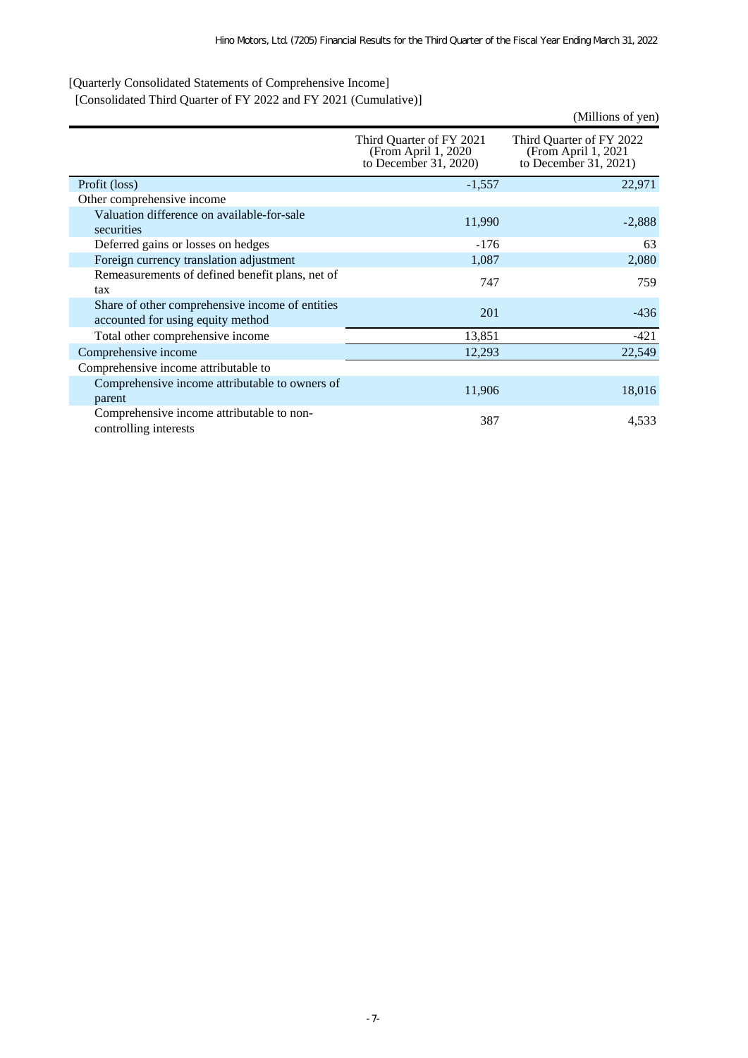[Quarterly Consolidated Statements of Comprehensive Income]

[Consolidated Third Quarter of FY 2022 and FY 2021 (Cumulative)]

|                                                                                      |                                                                           | (Millions of yen)                                                        |
|--------------------------------------------------------------------------------------|---------------------------------------------------------------------------|--------------------------------------------------------------------------|
|                                                                                      | Third Quarter of FY 2021<br>(From April 1, 2020)<br>to December 31, 2020) | Third Quarter of FY 2022<br>(From April 1, 2021<br>to December 31, 2021) |
| Profit (loss)                                                                        | $-1,557$                                                                  | 22,971                                                                   |
| Other comprehensive income                                                           |                                                                           |                                                                          |
| Valuation difference on available-for-sale<br>securities                             | 11,990                                                                    | $-2,888$                                                                 |
| Deferred gains or losses on hedges                                                   | $-176$                                                                    | 63                                                                       |
| Foreign currency translation adjustment                                              | 1,087                                                                     | 2,080                                                                    |
| Remeasurements of defined benefit plans, net of<br>tax                               | 747                                                                       | 759                                                                      |
| Share of other comprehensive income of entities<br>accounted for using equity method | 201                                                                       | $-436$                                                                   |
| Total other comprehensive income                                                     | 13,851                                                                    | $-421$                                                                   |
| Comprehensive income                                                                 | 12,293                                                                    | 22,549                                                                   |
| Comprehensive income attributable to                                                 |                                                                           |                                                                          |
| Comprehensive income attributable to owners of<br>parent                             | 11,906                                                                    | 18,016                                                                   |
| Comprehensive income attributable to non-<br>controlling interests                   | 387                                                                       | 4,533                                                                    |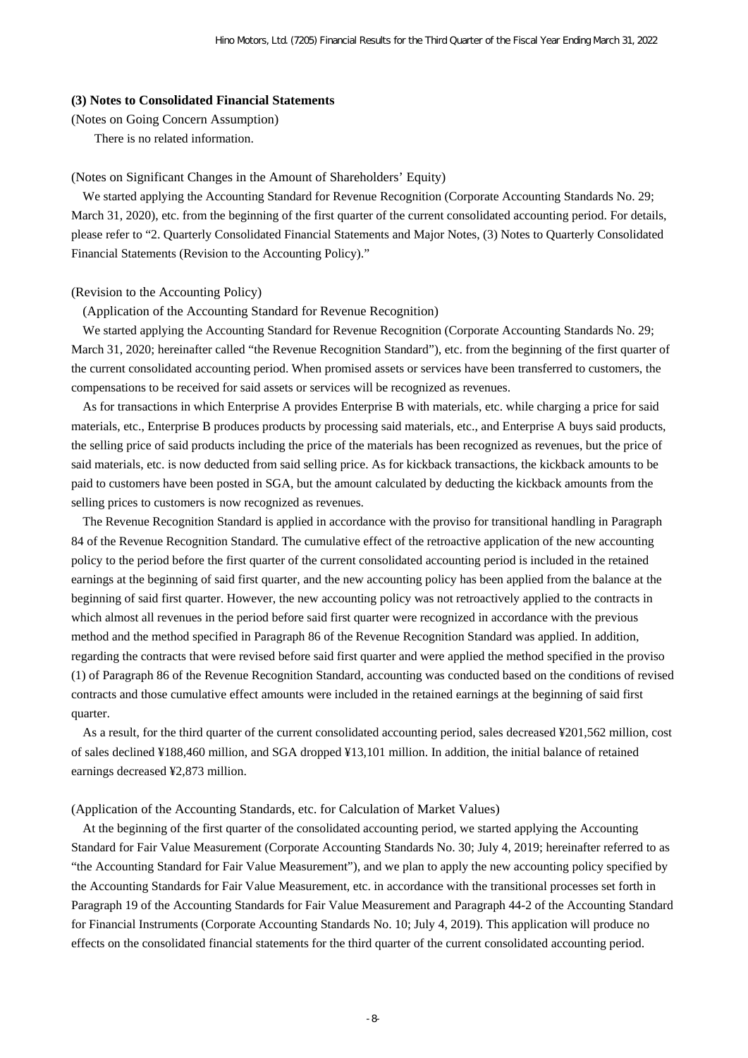#### **(3) Notes to Consolidated Financial Statements**

(Notes on Going Concern Assumption)

There is no related information.

#### (Notes on Significant Changes in the Amount of Shareholders' Equity)

We started applying the Accounting Standard for Revenue Recognition (Corporate Accounting Standards No. 29; March 31, 2020), etc. from the beginning of the first quarter of the current consolidated accounting period. For details, please refer to "2. Quarterly Consolidated Financial Statements and Major Notes, (3) Notes to Quarterly Consolidated Financial Statements (Revision to the Accounting Policy)."

#### (Revision to the Accounting Policy)

(Application of the Accounting Standard for Revenue Recognition)

We started applying the Accounting Standard for Revenue Recognition (Corporate Accounting Standards No. 29; March 31, 2020; hereinafter called "the Revenue Recognition Standard"), etc. from the beginning of the first quarter of the current consolidated accounting period. When promised assets or services have been transferred to customers, the compensations to be received for said assets or services will be recognized as revenues.

As for transactions in which Enterprise A provides Enterprise B with materials, etc. while charging a price for said materials, etc., Enterprise B produces products by processing said materials, etc., and Enterprise A buys said products, the selling price of said products including the price of the materials has been recognized as revenues, but the price of said materials, etc. is now deducted from said selling price. As for kickback transactions, the kickback amounts to be paid to customers have been posted in SGA, but the amount calculated by deducting the kickback amounts from the selling prices to customers is now recognized as revenues.

The Revenue Recognition Standard is applied in accordance with the proviso for transitional handling in Paragraph 84 of the Revenue Recognition Standard. The cumulative effect of the retroactive application of the new accounting policy to the period before the first quarter of the current consolidated accounting period is included in the retained earnings at the beginning of said first quarter, and the new accounting policy has been applied from the balance at the beginning of said first quarter. However, the new accounting policy was not retroactively applied to the contracts in which almost all revenues in the period before said first quarter were recognized in accordance with the previous method and the method specified in Paragraph 86 of the Revenue Recognition Standard was applied. In addition, regarding the contracts that were revised before said first quarter and were applied the method specified in the proviso (1) of Paragraph 86 of the Revenue Recognition Standard, accounting was conducted based on the conditions of revised contracts and those cumulative effect amounts were included in the retained earnings at the beginning of said first quarter.

As a result, for the third quarter of the current consolidated accounting period, sales decreased ¥201,562 million, cost of sales declined ¥188,460 million, and SGA dropped ¥13,101 million. In addition, the initial balance of retained earnings decreased ¥2,873 million.

#### (Application of the Accounting Standards, etc. for Calculation of Market Values)

At the beginning of the first quarter of the consolidated accounting period, we started applying the Accounting Standard for Fair Value Measurement (Corporate Accounting Standards No. 30; July 4, 2019; hereinafter referred to as "the Accounting Standard for Fair Value Measurement"), and we plan to apply the new accounting policy specified by the Accounting Standards for Fair Value Measurement, etc. in accordance with the transitional processes set forth in Paragraph 19 of the Accounting Standards for Fair Value Measurement and Paragraph 44-2 of the Accounting Standard for Financial Instruments (Corporate Accounting Standards No. 10; July 4, 2019). This application will produce no effects on the consolidated financial statements for the third quarter of the current consolidated accounting period.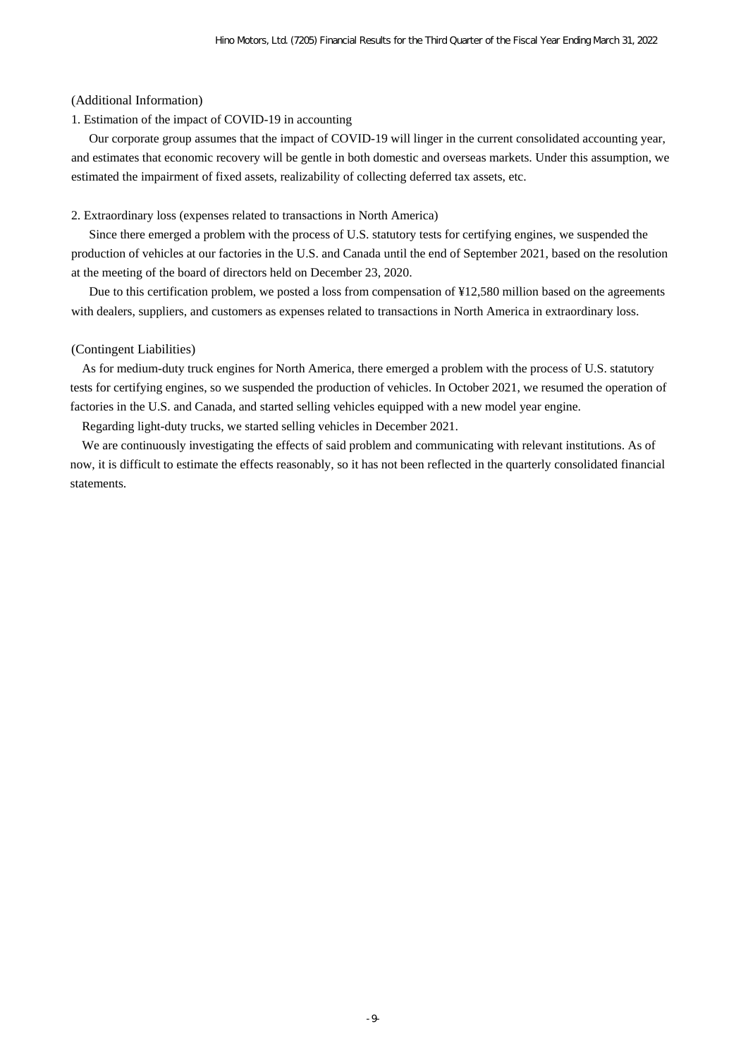#### (Additional Information)

#### 1. Estimation of the impact of COVID-19 in accounting

Our corporate group assumes that the impact of COVID-19 will linger in the current consolidated accounting year, and estimates that economic recovery will be gentle in both domestic and overseas markets. Under this assumption, we estimated the impairment of fixed assets, realizability of collecting deferred tax assets, etc.

#### 2. Extraordinary loss (expenses related to transactions in North America)

Since there emerged a problem with the process of U.S. statutory tests for certifying engines, we suspended the production of vehicles at our factories in the U.S. and Canada until the end of September 2021, based on the resolution at the meeting of the board of directors held on December 23, 2020.

Due to this certification problem, we posted a loss from compensation of ¥12,580 million based on the agreements with dealers, suppliers, and customers as expenses related to transactions in North America in extraordinary loss.

#### (Contingent Liabilities)

As for medium-duty truck engines for North America, there emerged a problem with the process of U.S. statutory tests for certifying engines, so we suspended the production of vehicles. In October 2021, we resumed the operation of factories in the U.S. and Canada, and started selling vehicles equipped with a new model year engine.

Regarding light-duty trucks, we started selling vehicles in December 2021.

We are continuously investigating the effects of said problem and communicating with relevant institutions. As of now, it is difficult to estimate the effects reasonably, so it has not been reflected in the quarterly consolidated financial statements.